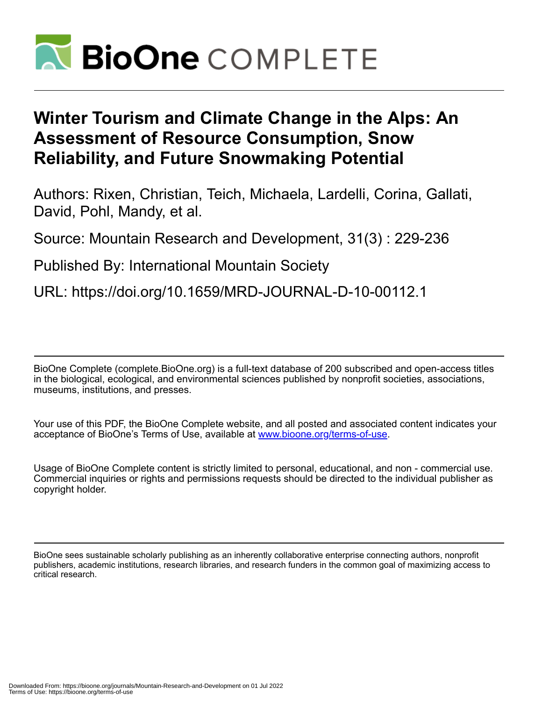

# **Winter Tourism and Climate Change in the Alps: An Assessment of Resource Consumption, Snow Reliability, and Future Snowmaking Potential**

Authors: Rixen, Christian, Teich, Michaela, Lardelli, Corina, Gallati, David, Pohl, Mandy, et al.

Source: Mountain Research and Development, 31(3) : 229-236

Published By: International Mountain Society

URL: https://doi.org/10.1659/MRD-JOURNAL-D-10-00112.1

BioOne Complete (complete.BioOne.org) is a full-text database of 200 subscribed and open-access titles in the biological, ecological, and environmental sciences published by nonprofit societies, associations, museums, institutions, and presses.

Your use of this PDF, the BioOne Complete website, and all posted and associated content indicates your acceptance of BioOne's Terms of Use, available at www.bioone.org/terms-of-use.

Usage of BioOne Complete content is strictly limited to personal, educational, and non - commercial use. Commercial inquiries or rights and permissions requests should be directed to the individual publisher as copyright holder.

BioOne sees sustainable scholarly publishing as an inherently collaborative enterprise connecting authors, nonprofit publishers, academic institutions, research libraries, and research funders in the common goal of maximizing access to critical research.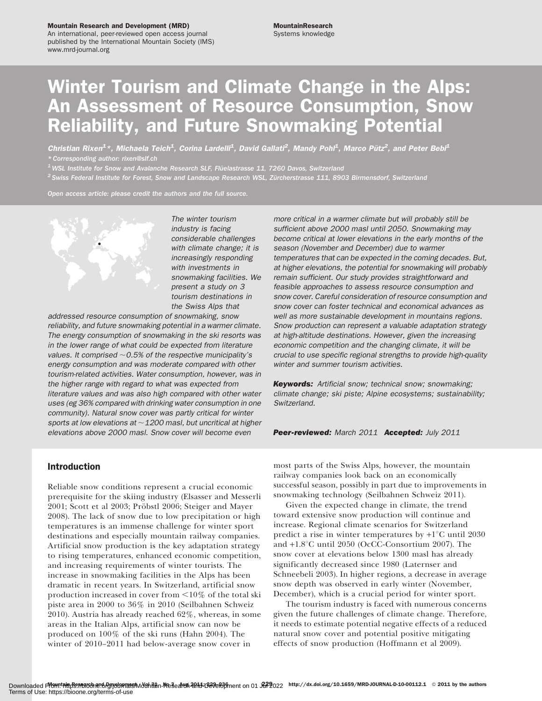### Mountain Research and Development (MRD)

An international, peer-reviewed open access journal published by the International Mountain Society (IMS) www.mrd-journal.org

# Winter Tourism and Climate Change in the Alps: An Assessment of Resource Consumption, Snow Reliability, and Future Snowmaking Potential

Christian Rixen<sup>1</sup>\*, Michaela Teich<sup>1</sup>, Corina Lardelli<sup>1</sup>, David Gallati<sup>2</sup>, Mandy Pohl<sup>1</sup>, Marco Pütz<sup>2</sup>, and Peter Bebi<sup>1</sup> \* Corresponding author: rixen@slf.ch

 $^{\text{1}}$ WSL Institute for Snow and Avalanche Research SLF, Flüelastrasse 11, 7260 Davos, Switzerland

 $^2$ Swiss Federal Institute for Forest, Snow and Landscape Research WSL, Zürcherstrasse 111, 8903 Birmensdorf, Switzerland

Open access article: please credit the authors and the full source.



The winter tourism industry is facing considerable challenges with climate change; it is increasingly responding with investments in snowmaking facilities. We present a study on 3 tourism destinations in the Swiss Alps that

addressed resource consumption of snowmaking, snow reliability, and future snowmaking potential in a warmer climate. The energy consumption of snowmaking in the ski resorts was in the lower range of what could be expected from literature values. It comprised  $\sim$  0.5% of the respective municipality's energy consumption and was moderate compared with other tourism-related activities. Water consumption, however, was in the higher range with regard to what was expected from literature values and was also high compared with other water uses (eg 36% compared with drinking water consumption in one community). Natural snow cover was partly critical for winter sports at low elevations at  $\sim$  1200 masl, but uncritical at higher elevations above 2000 masl. Snow cover will become even

# Introduction

Reliable snow conditions represent a crucial economic prerequisite for the skiing industry (Elsasser and Messerli 2001; Scott et al 2003; Pröbstl 2006; Steiger and Mayer 2008). The lack of snow due to low precipitation or high temperatures is an immense challenge for winter sport destinations and especially mountain railway companies. Artificial snow production is the key adaptation strategy to rising temperatures, enhanced economic competition, and increasing requirements of winter tourists. The increase in snowmaking facilities in the Alps has been dramatic in recent years. In Switzerland, artificial snow production increased in cover from  $<$ 10% of the total ski piste area in 2000 to 36% in 2010 (Seilbahnen Schweiz 2010). Austria has already reached 62%, whereas, in some areas in the Italian Alps, artificial snow can now be produced on 100% of the ski runs (Hahn 2004). The winter of 2010–2011 had below-average snow cover in

more critical in a warmer climate but will probably still be sufficient above 2000 masl until 2050. Snowmaking may become critical at lower elevations in the early months of the season (November and December) due to warmer temperatures that can be expected in the coming decades. But, at higher elevations, the potential for snowmaking will probably remain sufficient. Our study provides straightforward and feasible approaches to assess resource consumption and snow cover. Careful consideration of resource consumption and snow cover can foster technical and economical advances as well as more sustainable development in mountains regions. Snow production can represent a valuable adaptation strategy at high-altitude destinations. However, given the increasing economic competition and the changing climate, it will be crucial to use specific regional strengths to provide high-quality winter and summer tourism activities.

Keywords: Artificial snow; technical snow; snowmaking; climate change; ski piste; Alpine ecosystems; sustainability; Switzerland.

Peer-reviewed: March 2011 Accepted: July 2011

most parts of the Swiss Alps, however, the mountain railway companies look back on an economically successful season, possibly in part due to improvements in snowmaking technology (Seilbahnen Schweiz 2011).

Given the expected change in climate, the trend toward extensive snow production will continue and increase. Regional climate scenarios for Switzerland predict a rise in winter temperatures by  $+1^{\circ}C$  until 2030 and  $+1.8^{\circ}$ C until 2050 (OcCC-Consortium 2007). The snow cover at elevations below 1300 masl has already significantly decreased since 1980 (Laternser and Schneebeli 2003). In higher regions, a decrease in average snow depth was observed in early winter (November, December), which is a crucial period for winter sport.

The tourism industry is faced with numerous concerns given the future challenges of climate change. Therefore, it needs to estimate potential negative effects of a reduced natural snow cover and potential positive mitigating effects of snow production (Hoffmann et al 2009).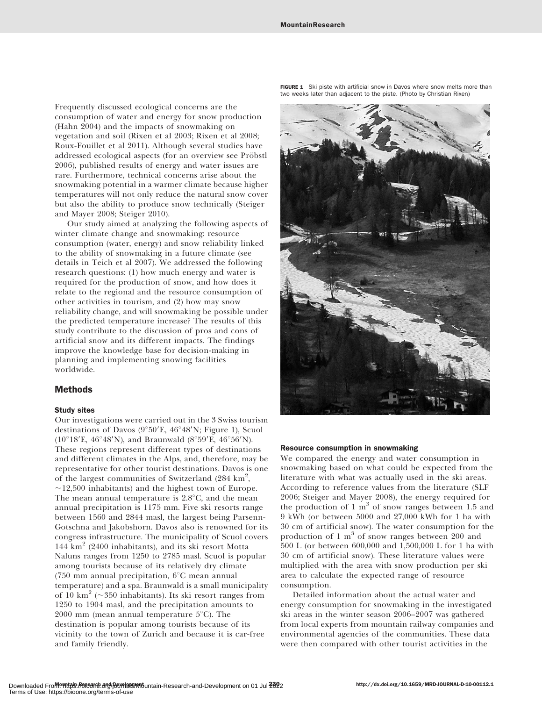Frequently discussed ecological concerns are the consumption of water and energy for snow production (Hahn 2004) and the impacts of snowmaking on vegetation and soil (Rixen et al 2003; Rixen et al 2008; Roux-Fouillet et al 2011). Although several studies have addressed ecological aspects (for an overview see Pröbstl 2006), published results of energy and water issues are rare. Furthermore, technical concerns arise about the snowmaking potential in a warmer climate because higher temperatures will not only reduce the natural snow cover but also the ability to produce snow technically (Steiger and Mayer 2008; Steiger 2010).

Our study aimed at analyzing the following aspects of winter climate change and snowmaking: resource consumption (water, energy) and snow reliability linked to the ability of snowmaking in a future climate (see details in Teich et al 2007). We addressed the following research questions: (1) how much energy and water is required for the production of snow, and how does it relate to the regional and the resource consumption of other activities in tourism, and (2) how may snow reliability change, and will snowmaking be possible under the predicted temperature increase? The results of this study contribute to the discussion of pros and cons of artificial snow and its different impacts. The findings improve the knowledge base for decision-making in planning and implementing snowing facilities worldwide.

# Methods

### Study sites

Our investigations were carried out in the 3Swiss tourism destinations of Davos ( $9^{\circ}50'$ E,  $46^{\circ}48'$ N; Figure 1), Scuol (10°18'E, 46°48'N), and Braunwald (8°59'E, 46°56'N). These regions represent different types of destinations and different climates in the Alps, and, therefore, may be representative for other tourist destinations. Davos is one of the largest communities of Switzerland (284 km<sup>2</sup>,  $\sim$ 12,500 inhabitants) and the highest town of Europe. The mean annual temperature is  $2.8^{\circ}$ C, and the mean annual precipitation is 1175 mm. Five ski resorts range between 1560 and 2844 masl, the largest being Parsenn-Gotschna and Jakobshorn. Davos also is renowned for its congress infrastructure. The municipality of Scuol covers 144  $km^2$  (2400 inhabitants), and its ski resort Motta Naluns ranges from 1250 to 2785 masl. Scuol is popular among tourists because of its relatively dry climate (750 mm annual precipitation,  $6^{\circ}$ C mean annual temperature) and a spa. Braunwald is a small municipality of 10 km<sup>2</sup> ( $\sim$ 350 inhabitants). Its ski resort ranges from 1250 to 1904 masl, and the precipitation amounts to 2000 mm (mean annual temperature  $5^{\circ}$ C). The destination is popular among tourists because of its vicinity to the town of Zurich and because it is car-free and family friendly.

FIGURE 1 Ski piste with artificial snow in Davos where snow melts more than two weeks later than adjacent to the piste. (Photo by Christian Rixen)



#### Resource consumption in snowmaking

We compared the energy and water consumption in snowmaking based on what could be expected from the literature with what was actually used in the ski areas. According to reference values from the literature (SLF 2006; Steiger and Mayer 2008), the energy required for the production of  $1 \text{ m}^3$  of snow ranges between 1.5 and 9 kWh (or between 5000 and 27,000 kWh for 1 ha with 30 cm of artificial snow). The water consumption for the production of  $1 \text{ m}^3$  of snow ranges between 200 and 500 L (or between 600,000 and 1,500,000 L for 1 ha with 30 cm of artificial snow). These literature values were multiplied with the area with snow production per ski area to calculate the expected range of resource consumption.

Detailed information about the actual water and energy consumption for snowmaking in the investigated ski areas in the winter season 2006–2007 was gathered from local experts from mountain railway companies and environmental agencies of the communities. These data were then compared with other tourist activities in the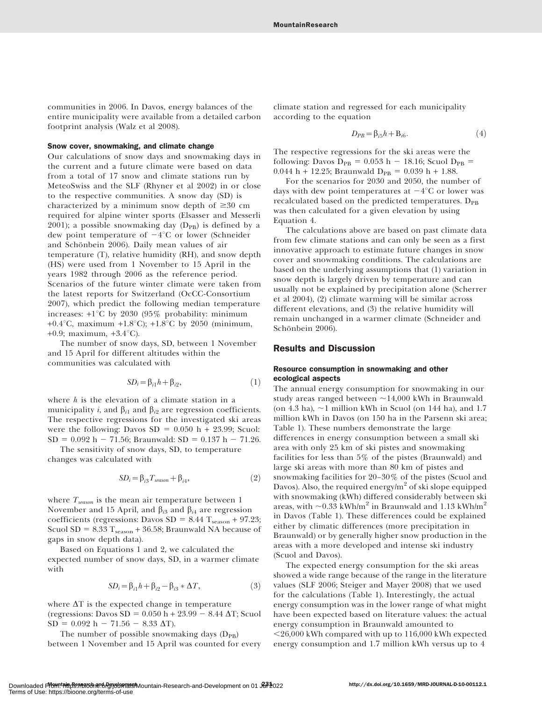communities in 2006. In Davos, energy balances of the entire municipality were available from a detailed carbon footprint analysis (Walz et al 2008).

#### Snow cover, snowmaking, and climate change

Our calculations of snow days and snowmaking days in the current and a future climate were based on data from a total of 17 snow and climate stations run by MeteoSwiss and the SLF (Rhyner et al 2002) in or close to the respective communities. A snow day (SD) is characterized by a minimum snow depth of  $\geq 30$  cm required for alpine winter sports (Elsasser and Messerli 2001); a possible snowmaking day  $(D_{PB})$  is defined by a dew point temperature of  $-4^{\circ}$ C or lower (Schneider and Schönbein 2006). Daily mean values of air temperature (T), relative humidity (RH), and snow depth (HS) were used from 1 November to 15 April in the years 1982 through 2006 as the reference period. Scenarios of the future winter climate were taken from the latest reports for Switzerland (OcCC-Consortium 2007), which predict the following median temperature increases:  $+1^{\circ}C$  by 2030 (95% probability: minimum +0.4<sup>o</sup>C, maximum +1.8<sup>o</sup>C); +1.8<sup>o</sup>C by 2050 (minimum,  $+0.9$ ; maximum,  $+3.4^{\circ}$ C).

The number of snow days, SD, between 1 November and 15 April for different altitudes within the communities was calculated with

$$
SD_i = \beta_{i1}h + \beta_{i2},\tag{1}
$$

where  $h$  is the elevation of a climate station in a municipality *i*, and  $\beta_{i1}$  and  $\beta_{i2}$  are regression coefficients. The respective regressions for the investigated ski areas were the following: Davos  $SD = 0.050$  h + 23.99; Scuol:  $SD = 0.092$  h - 71.56; Braunwald:  $SD = 0.137$  h - 71.26.

The sensitivity of snow days, SD, to temperature changes was calculated with

$$
SD_i = \beta_{i3} T_{season} + \beta_{i4}, \qquad (2)
$$

where  $T_{season}$  is the mean air temperature between 1 November and 15 April, and  $\beta_{i3}$  and  $\beta_{i4}$  are regression coefficients (regressions: Davos SD =  $8.44$  T<sub>season</sub> + 97.23; Scuol SD =  $8.33$  T<sub>season</sub> + 36.58; Braunwald NA because of gaps in snow depth data).

Based on Equations 1 and 2, we calculated the expected number of snow days, SD, in a warmer climate with

$$
SD_i = \beta_{i1}h + \beta_{i2} - \beta_{i3} * \Delta T,
$$
\n(3)

where  $\Delta T$  is the expected change in temperature (regressions: Davos SD =  $0.050$  h + 23.99 - 8.44  $\Delta$ T; Scuol  $SD = 0.092$  h - 71.56 - 8.33  $\Delta T$ ).

The number of possible snowmaking days  $(D_{PB})$ between 1 November and 15 April was counted for every climate station and regressed for each municipality according to the equation

$$
D_{PB} = \beta_{i5}h + B_{i6}.\tag{4}
$$

The respective regressions for the ski areas were the following: Davos D<sub>PB</sub> =  $0.053$  h - 18.16; Scuol D<sub>PB</sub> = 0.044 h + 12.25; Braunwald  $D_{PB} = 0.039 h + 1.88$ .

For the scenarios for 2030 and 2050, the number of days with dew point temperatures at  $-4^{\circ}$ C or lower was recalculated based on the predicted temperatures.  $D_{PB}$ was then calculated for a given elevation by using Equation 4.

The calculations above are based on past climate data from few climate stations and can only be seen as a first innovative approach to estimate future changes in snow cover and snowmaking conditions. The calculations are based on the underlying assumptions that (1) variation in snow depth is largely driven by temperature and can usually not be explained by precipitation alone (Scherrer et al 2004), (2) climate warming will be similar across different elevations, and (3) the relative humidity will remain unchanged in a warmer climate (Schneider and Schönbein 2006).

#### Results and Discussion

## Resource consumption in snowmaking and other ecological aspects

The annual energy consumption for snowmaking in our study areas ranged between  $~14,000$  kWh in Braunwald (on 4.3 ha),  $\sim$ 1 million kWh in Scuol (on 144 ha), and 1.7 million kWh in Davos (on 150 ha in the Parsenn ski area; Table 1). These numbers demonstrate the large differences in energy consumption between a small ski area with only 25 km of ski pistes and snowmaking facilities for less than 5% of the pistes (Braunwald) and large ski areas with more than 80 km of pistes and snowmaking facilities for 20–30% of the pistes (Scuol and Davos). Also, the required energy/m<sup>2</sup> of ski slope equipped with snowmaking (kWh) differed considerably between ski areas, with  $\sim$ 0.33 kWh/m<sup>2</sup> in Braunwald and 1.13 kWh/m<sup>2</sup> in Davos (Table 1). These differences could be explained either by climatic differences (more precipitation in Braunwald) or by generally higher snow production in the areas with a more developed and intense ski industry (Scuol and Davos).

The expected energy consumption for the ski areas showed a wide range because of the range in the literature values (SLF 2006; Steiger and Mayer 2008) that we used for the calculations (Table 1). Interestingly, the actual energy consumption was in the lower range of what might have been expected based on literature values: the actual energy consumption in Braunwald amounted to  $<$ 26,000 kWh compared with up to 116,000 kWh expected energy consumption and 1.7 million kWh versus up to 4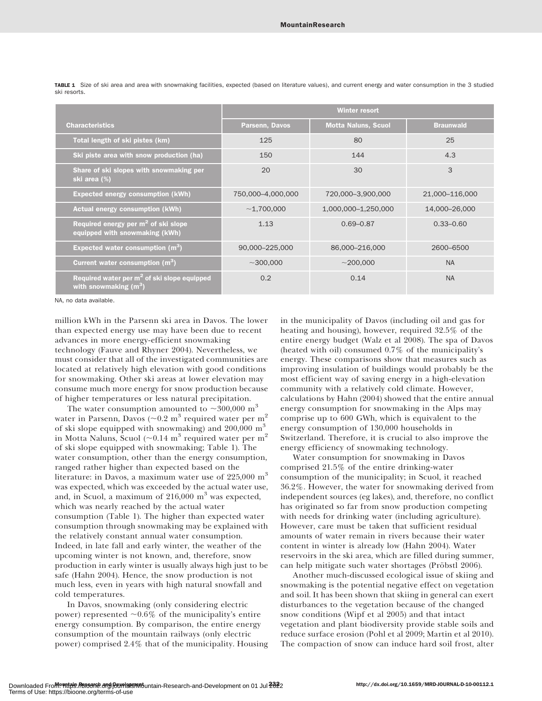|                                                                                    | <b>Winter resort</b> |                            |                  |
|------------------------------------------------------------------------------------|----------------------|----------------------------|------------------|
| <b>Characteristics</b>                                                             | Parsenn, Davos       | <b>Motta Naluns, Scuol</b> | <b>Braunwald</b> |
| Total length of ski pistes (km)                                                    | 125                  | 80                         | 25               |
| Ski piste area with snow production (ha)                                           | 150                  | 144                        | 4.3              |
| Share of ski slopes with snowmaking per<br>ski area (%)                            | 20                   | 30                         | 3                |
| <b>Expected energy consumption (kWh)</b>                                           | 750,000-4,000,000    | 720,000-3,900,000          | 21,000-116,000   |
| <b>Actual energy consumption (kWh)</b>                                             | ~1.700,000           | 1,000,000-1,250,000        | 14,000-26,000    |
| Required energy per $m2$ of ski slope<br>equipped with snowmaking (kWh)            | 1.13                 | $0.69 - 0.87$              | $0.33 - 0.60$    |
| Expected water consumption $(m^3)$                                                 | 90,000-225,000       | 86,000-216,000             | 2600-6500        |
| Current water consumption $(m^3)$                                                  | ~100,000             | $~1$ 200,000               | <b>NA</b>        |
| Required water per m <sup>2</sup> of ski slope equipped<br>with snowmaking $(m^3)$ | 0.2                  | 0.14                       | <b>NA</b>        |

TABLE 1 Size of ski area and area with snowmaking facilities, expected (based on literature values), and current energy and water consumption in the 3 studied ski resorts.

NA, no data available.

million kWh in the Parsenn ski area in Davos. The lower than expected energy use may have been due to recent advances in more energy-efficient snowmaking technology (Fauve and Rhyner 2004). Nevertheless, we must consider that all of the investigated communities are located at relatively high elevation with good conditions for snowmaking. Other ski areas at lower elevation may consume much more energy for snow production because of higher temperatures or less natural precipitation.

The water consumption amounted to  $\sim 300,000$  m<sup>3</sup> water in Parsenn, Davos ( $\sim 0.2$  m<sup>3</sup> required water per m<sup>2</sup> of ski slope equipped with snowmaking) and  $200,000 \text{ m}^3$ in Motta Naluns, Scuol ( $\sim$ 0.14 m<sup>3</sup> required water per m<sup>2</sup> of ski slope equipped with snowmaking; Table 1). The water consumption, other than the energy consumption, ranged rather higher than expected based on the literature: in Davos, a maximum water use of  $225,000 \text{ m}^3$ was expected, which was exceeded by the actual water use, and, in Scuol, a maximum of  $216,000 \text{ m}^3$  was expected, which was nearly reached by the actual water consumption (Table 1). The higher than expected water consumption through snowmaking may be explained with the relatively constant annual water consumption. Indeed, in late fall and early winter, the weather of the upcoming winter is not known, and, therefore, snow production in early winter is usually always high just to be safe (Hahn 2004). Hence, the snow production is not much less, even in years with high natural snowfall and cold temperatures.

In Davos, snowmaking (only considering electric power) represented  $\sim 0.6\%$  of the municipality's entire energy consumption. By comparison, the entire energy consumption of the mountain railways (only electric power) comprised 2.4% that of the municipality. Housing in the municipality of Davos (including oil and gas for heating and housing), however, required 32.5% of the entire energy budget (Walz et al 2008). The spa of Davos (heated with oil) consumed 0.7% of the municipality's energy. These comparisons show that measures such as improving insulation of buildings would probably be the most efficient way of saving energy in a high-elevation community with a relatively cold climate. However, calculations by Hahn (2004) showed that the entire annual energy consumption for snowmaking in the Alps may comprise up to 600 GWh, which is equivalent to the energy consumption of 130,000 households in Switzerland. Therefore, it is crucial to also improve the energy efficiency of snowmaking technology.

Water consumption for snowmaking in Davos comprised 21.5% of the entire drinking-water consumption of the municipality; in Scuol, it reached 36.2%. However, the water for snowmaking derived from independent sources (eg lakes), and, therefore, no conflict has originated so far from snow production competing with needs for drinking water (including agriculture). However, care must be taken that sufficient residual amounts of water remain in rivers because their water content in winter is already low (Hahn 2004). Water reservoirs in the ski area, which are filled during summer, can help mitigate such water shortages (Pröbstl 2006).

Another much-discussed ecological issue of skiing and snowmaking is the potential negative effect on vegetation and soil. It has been shown that skiing in general can exert disturbances to the vegetation because of the changed snow conditions (Wipf et al 2005) and that intact vegetation and plant biodiversity provide stable soils and reduce surface erosion (Pohl et al 2009; Martin et al 2010). The compaction of snow can induce hard soil frost, alter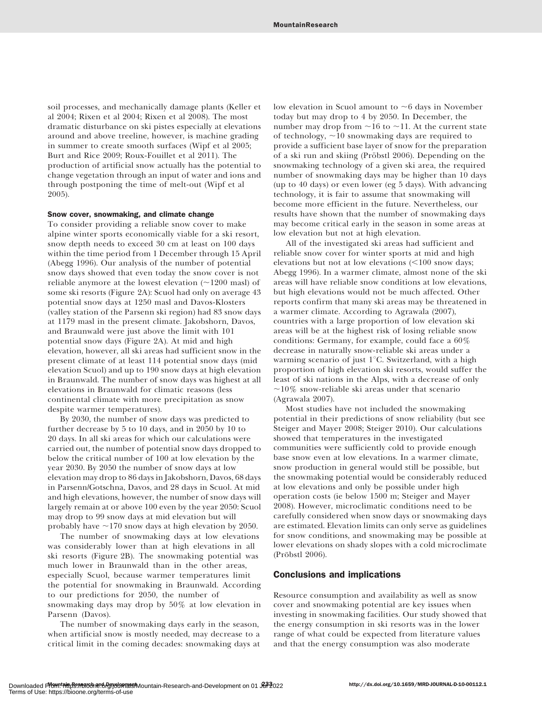soil processes, and mechanically damage plants (Keller et al 2004; Rixen et al 2004; Rixen et al 2008). The most dramatic disturbance on ski pistes especially at elevations around and above treeline, however, is machine grading in summer to create smooth surfaces (Wipf et al 2005; Burt and Rice 2009; Roux-Fouillet et al 2011). The production of artificial snow actually has the potential to change vegetation through an input of water and ions and through postponing the time of melt-out (Wipf et al 2005).

#### Snow cover, snowmaking, and climate change

To consider providing a reliable snow cover to make alpine winter sports economically viable for a ski resort, snow depth needs to exceed 30 cm at least on 100 days within the time period from 1 December through 15 April (Abegg 1996). Our analysis of the number of potential snow days showed that even today the snow cover is not reliable anymore at the lowest elevation  $(\sim 1200 \text{ mas}$ ) of some ski resorts (Figure 2A): Scuol had only on average 43 potential snow days at 1250 masl and Davos-Klosters (valley station of the Parsenn ski region) had 83 snow days at 1179 masl in the present climate. Jakobshorn, Davos, and Braunwald were just above the limit with 101 potential snow days (Figure 2A). At mid and high elevation, however, all ski areas had sufficient snow in the present climate of at least 114 potential snow days (mid elevation Scuol) and up to 190 snow days at high elevation in Braunwald. The number of snow days was highest at all elevations in Braunwald for climatic reasons (less continental climate with more precipitation as snow despite warmer temperatures).

By 2030, the number of snow days was predicted to further decrease by 5 to 10 days, and in 2050 by 10 to 20 days. In all ski areas for which our calculations were carried out, the number of potential snow days dropped to below the critical number of 100 at low elevation by the year 2030. By 2050 the number of snow days at low elevation may drop to 86 days in Jakobshorn, Davos, 68 days in Parsenn/Gotschna, Davos, and 28 days in Scuol. At mid and high elevations, however, the number of snow days will largely remain at or above 100 even by the year 2050: Scuol may drop to 99 snow days at mid elevation but will probably have  $\sim$ 170 snow days at high elevation by 2050.

The number of snowmaking days at low elevations was considerably lower than at high elevations in all ski resorts (Figure 2B). The snowmaking potential was much lower in Braunwald than in the other areas, especially Scuol, because warmer temperatures limit the potential for snowmaking in Braunwald. According to our predictions for 2050, the number of snowmaking days may drop by 50% at low elevation in Parsenn (Davos).

The number of snowmaking days early in the season, when artificial snow is mostly needed, may decrease to a critical limit in the coming decades: snowmaking days at low elevation in Scuol amount to  $\sim$ 6 days in November today but may drop to 4 by 2050. In December, the number may drop from  $\sim$ 16 to  $\sim$ 11. At the current state of technology,  $\sim$ 10 snowmaking days are required to provide a sufficient base layer of snow for the preparation of a ski run and skiing (Pröbstl 2006). Depending on the snowmaking technology of a given ski area, the required number of snowmaking days may be higher than 10 days (up to 40 days) or even lower (eg 5 days). With advancing technology, it is fair to assume that snowmaking will become more efficient in the future. Nevertheless, our results have shown that the number of snowmaking days may become critical early in the season in some areas at low elevation but not at high elevation.

All of the investigated ski areas had sufficient and reliable snow cover for winter sports at mid and high elevations but not at low elevations  $\leq 100$  snow days; Abegg 1996). In a warmer climate, almost none of the ski areas will have reliable snow conditions at low elevations, but high elevations would not be much affected. Other reports confirm that many ski areas may be threatened in a warmer climate. According to Agrawala (2007), countries with a large proportion of low elevation ski areas will be at the highest risk of losing reliable snow conditions: Germany, for example, could face a 60% decrease in naturally snow-reliable ski areas under a warming scenario of just  $1^{\circ}$ C. Switzerland, with a high proportion of high elevation ski resorts, would suffer the least of ski nations in the Alps, with a decrease of only  $\sim$ 10% snow-reliable ski areas under that scenario (Agrawala 2007).

Most studies have not included the snowmaking potential in their predictions of snow reliability (but see Steiger and Mayer 2008; Steiger 2010). Our calculations showed that temperatures in the investigated communities were sufficiently cold to provide enough base snow even at low elevations. In a warmer climate, snow production in general would still be possible, but the snowmaking potential would be considerably reduced at low elevations and only be possible under high operation costs (ie below 1500 m; Steiger and Mayer 2008). However, microclimatic conditions need to be carefully considered when snow days or snowmaking days are estimated. Elevation limits can only serve as guidelines for snow conditions, and snowmaking may be possible at lower elevations on shady slopes with a cold microclimate (Pröbstl 2006).

## Conclusions and implications

Resource consumption and availability as well as snow cover and snowmaking potential are key issues when investing in snowmaking facilities. Our study showed that the energy consumption in ski resorts was in the lower range of what could be expected from literature values and that the energy consumption was also moderate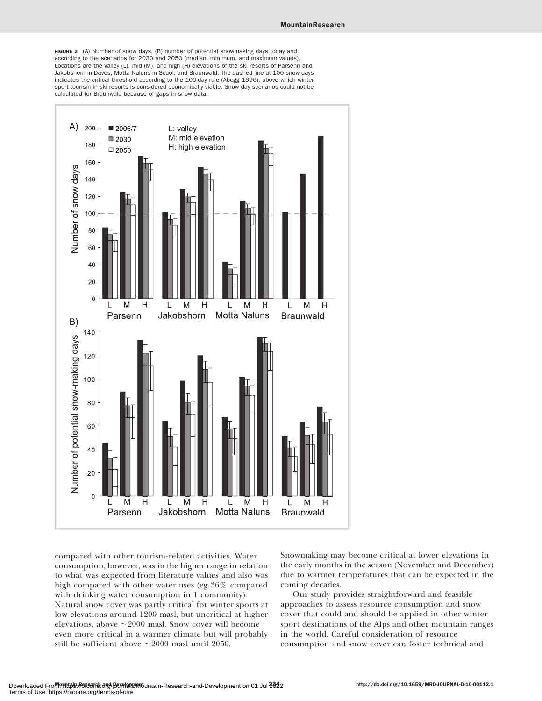FIGURE 2 (A) Number of snow days, (B) number of potential snowmaking days today and according to the scenarios for 2030 and 2050 (median, minimum, and maximum values). Locations are the valley (L), mid (M), and high (H) elevations of the ski resorts of Parsenn and Jakobshorn in Davos, Motta Naluns in Scuol, and Braunwald. The dashed line at 100 snow days indicates the critical threshold according to the 100-day rule (Abegg 1996), above which winter sport tourism in ski resorts is considered economically viable. Snow day scenarios could not be calculated for Braunwald because of gaps in snow data.



compared with other tourism-related activities. Water consumption, however, was in the higher range in relation to what was expected from literature values and also was high compared with other water uses (eg 36% compared with drinking water consumption in 1 community). Natural snow cover was partly critical for winter sports at low elevations around 1200 masl, but uncritical at higher elevations, above  $\sim$  2000 masl. Snow cover will become even more critical in a warmer climate but will probably still be sufficient above  $\sim$ 2000 masl until 2050.

Snowmaking may become critical at lower elevations in the early months in the season (November and December) due to warmer temperatures that can be expected in the coming decades.

Our study provides straightforward and feasible approaches to assess resource consumption and snow cover that could and should be applied in other winter sport destinations of the Alps and other mountain ranges in the world. Careful consideration of resource consumption and snow cover can foster technical and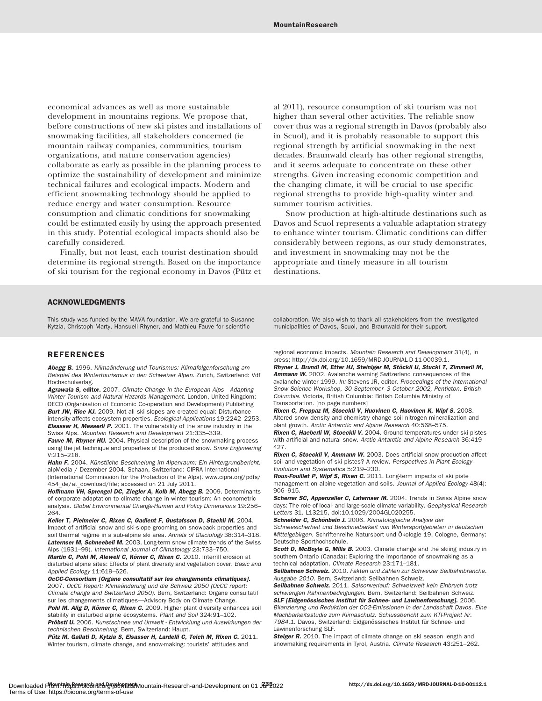economical advances as well as more sustainable development in mountains regions. We propose that, before constructions of new ski pistes and installations of snowmaking facilities, all stakeholders concerned (ie mountain railway companies, communities, tourism organizations, and nature conservation agencies) collaborate as early as possible in the planning process to optimize the sustainability of development and minimize technical failures and ecological impacts. Modern and efficient snowmaking technology should be applied to reduce energy and water consumption. Resource consumption and climatic conditions for snowmaking could be estimated easily by using the approach presented in this study. Potential ecological impacts should also be carefully considered.

Finally, but not least, each tourist destination should determine its regional strength. Based on the importance of ski tourism for the regional economy in Davos (Pütz et al 2011), resource consumption of ski tourism was not higher than several other activities. The reliable snow cover thus was a regional strength in Davos (probably also in Scuol), and it is probably reasonable to support this regional strength by artificial snowmaking in the next decades. Braunwald clearly has other regional strengths, and it seems adequate to concentrate on these other strengths. Given increasing economic competition and the changing climate, it will be crucial to use specific regional strengths to provide high-quality winter and summer tourism activities.

Snow production at high-altitude destinations such as Davos and Scuol represents a valuable adaptation strategy to enhance winter tourism. Climatic conditions can differ considerably between regions, as our study demonstrates, and investment in snowmaking may not be the appropriate and timely measure in all tourism destinations.

#### ACKNOWLEDGMENTS

This study was funded by the MAVA foundation. We are grateful to Susanne Kytzia, Christoph Marty, Hansueli Rhyner, and Mathieu Fauve for scientific

#### REFERENCES

Abegg B. 1996. Klimaänderung und Tourismus: Klimafolgenforschung am Beispiel des Wintertourismus in den Schweizer Alpen. Zurich, Switzerland: Vdf Hochschulverlag.

Agrawala S, editor. 2007. Climate Change in the European Alps-Adapting Winter Tourism and Natural Hazards Management. London, United Kingdom: OECD (Organisation of Economic Co-operation and Development) Publishing Burt JW, Rice KJ. 2009. Not all ski slopes are created equal: Disturbance intensity affects ecosystem properties. Ecological Applications 19:2242–2253. **Elsasser H. Messerli P.** 2001. The vulnerability of the snow industry in the Swiss Alps. Mountain Research and Development 21:335–339.

Fauve M, Rhyner HU. 2004. Physical description of the snowmaking process using the jet technique and properties of the produced snow. Snow Engineering V:215–218.

Hahn F. 2004. Künstliche Beschneiung im Alpenraum: Ein Hintergrundbericht. alpMedia / Dezember 2004. Schaan, Switzerland: CIPRA International (International Commission for the Protection of the Alps). www.cipra.org/pdfs/ 454 de/at download/file; accessed on 21 July 2011.

Hoffmann VH, Sprengel DC, Ziegler A, Kolb M, Abegg B. 2009. Determinants of corporate adaptation to climate change in winter tourism: An econometric analysis. Global Environmental Change-Human and Policy Dimensions 19:256– 264.

Keller T, Pielmeier C, Rixen C, Gadient F, Gustafsson D, Staehli M. 2004. Impact of artificial snow and ski-slope grooming on snowpack properties and soil thermal regime in a sub-alpine ski area. Annals of Glaciology 38:314–318. Laternser M, Schneebeli M. 2003. Long-term snow climate trends of the Swiss Alps (1931–99). International Journal of Climatology 23:733–750.

Martin C, Pohl M, Alewell C, Körner C, Rixen C, 2010. Interrill erosion at disturbed alpine sites: Effects of plant diversity and vegetation cover. Basic and Applied Ecology 11:619–626.

OcCC-Consortium [Organe consultatif sur les changements climatiques]. 2007. OcCC Report: Klimaänderung und die Schweiz 2050 (OcCC report: Climate change and Switzerland 2050). Bern, Switzerland: Organe consultatif sur les changements climatiques—Advisory Body on Climate Change.

Pohl M, Alig D, Körner C, Rixen C. 2009. Higher plant diversity enhances soil stability in disturbed alpine ecosystems. Plant and Soil 324:91–102.

Pröbstl U. 2006. Kunstschnee und Umwelt - Entwicklung und Auswirkungen der technischen Beschneiung. Bern, Switzerland: Haupt.

Pütz M, Gallati D, Kytzia S, Elsasser H, Lardelli C, Teich M, Rixen C. 2011. Winter tourism, climate change, and snow-making: tourists' attitudes and

collaboration. We also wish to thank all stakeholders from the investigated municipalities of Davos, Scuol, and Braunwald for their support.

regional economic impacts. Mountain Research and Development 31(4), in press; http://dx.doi.org/10.1659/MRD-JOURNAL-D-11-00039.1.

Rhyner J, Bründl M, Etter HJ, Steiniger M, Stöckli U, Stucki T, Zimmerli M, Ammann W. 2002. Avalanche warning Switzerland consequences of the avalanche winter 1999. In: Stevens JR, editor. Proceedings of the International Snow Science Workshop, 30 September–3 October 2002, Penticton, British Columbia. Victoria, British Columbia: British Columbia Ministry of Transportation. [no page numbers]

Rixen C, Freppaz M, Stoeckli V, Huovinen C, Huovinen K, Wipf S. 2008. Altered snow density and chemistry change soil nitrogen mineralization and plant growth. Arctic Antarctic and Alpine Research 40:568–575.

Rixen C, Haeberli W, Stoeckli V. 2004. Ground temperatures under ski pistes with artificial and natural snow. Arctic Antarctic and Alpine Research 36:419– 427.

Rixen C, Stoeckli V, Ammann W. 2003. Does artificial snow production affect soil and vegetation of ski pistes? A review. Perspectives in Plant Ecology Evolution and Systematics 5:219–230.

Roux-Fouillet P, Wipf S, Rixen C. 2011. Long-term impacts of ski piste management on alpine vegetation and soils. Journal of Applied Ecology 48(4): 906–915.

Scherrer SC, Appenzeller C, Laternser M. 2004. Trends in Swiss Alpine snow days: The role of local- and large-scale climate variability. Geophysical Research Letters 31. L13215, doi:10.1029/2004GL020255.

Schneider C, Schönbein J. 2006. Klimatologische Analyse der Schneesicherheit und Beschneibarkeit von Wintersportgebieten in deutschen Mittelgebirgen. Schriftenreihe Natursport und Ökologie 19. Cologne, Germany: Deutsche Sporthochschule.

Scott D, McBoyle G, Mills B. 2003. Climate change and the skiing industry in southern Ontario (Canada): Exploring the importance of snowmaking as a technical adaptation. Climate Research 23:171–181.

Seilbahnen Schweiz. 2010. Fakten und Zahlen zur Schweizer Seilbahnbranche. Ausgabe 2010. Bern, Switzerland: Seilbahnen Schweiz.

Seilbahnen Schweiz. 2011. Saisonverlauf: Schweizweit kein Einbruch trotz schwierigen Rahmenbedingungen. Bern, Switzerland: Seilbahnen Schweiz. SLF [Eidgenössisches Institut für Schnee- und Lawinenforschung]. 2006.

Bilanzierung und Reduktion der CO2-Emissionen in der Landschaft Davos. Eine Machbarkeitsstudie zum Klimaschutz. Schlussbericht zum KTI-Projekt Nr. 7984.1. Davos, Switzerland: Eidgenössisches Institut für Schnee- und Lawinenforschung SLF.

**Steiger R.** 2010. The impact of climate change on ski season length and snowmaking requirements in Tyrol, Austria. Climate Research 43:251–262.